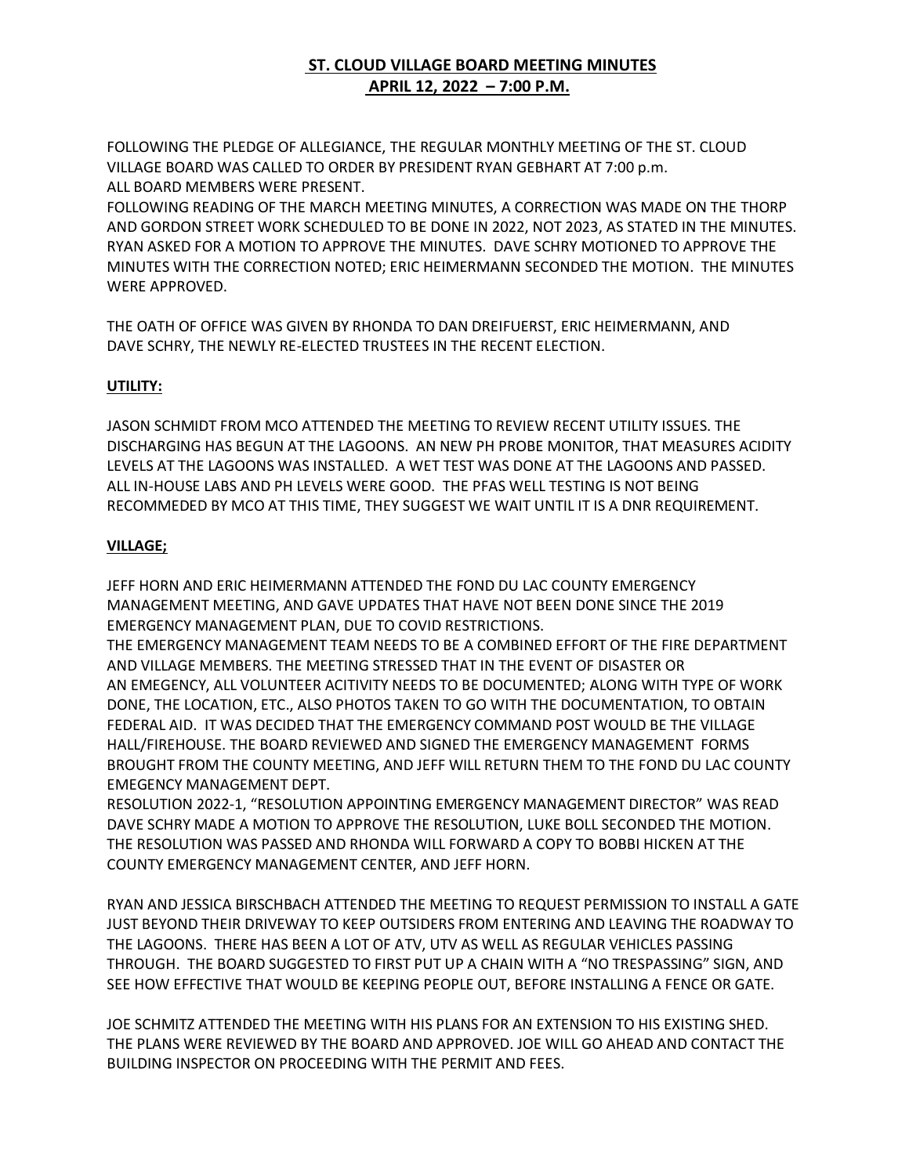## **ST. CLOUD VILLAGE BOARD MEETING MINUTES APRIL 12, 2022 – 7:00 P.M.**

FOLLOWING THE PLEDGE OF ALLEGIANCE, THE REGULAR MONTHLY MEETING OF THE ST. CLOUD VILLAGE BOARD WAS CALLED TO ORDER BY PRESIDENT RYAN GEBHART AT 7:00 p.m. ALL BOARD MEMBERS WERE PRESENT.

FOLLOWING READING OF THE MARCH MEETING MINUTES, A CORRECTION WAS MADE ON THE THORP AND GORDON STREET WORK SCHEDULED TO BE DONE IN 2022, NOT 2023, AS STATED IN THE MINUTES. RYAN ASKED FOR A MOTION TO APPROVE THE MINUTES. DAVE SCHRY MOTIONED TO APPROVE THE MINUTES WITH THE CORRECTION NOTED; ERIC HEIMERMANN SECONDED THE MOTION. THE MINUTES WERE APPROVED.

THE OATH OF OFFICE WAS GIVEN BY RHONDA TO DAN DREIFUERST, ERIC HEIMERMANN, AND DAVE SCHRY, THE NEWLY RE-ELECTED TRUSTEES IN THE RECENT ELECTION.

## **UTILITY:**

JASON SCHMIDT FROM MCO ATTENDED THE MEETING TO REVIEW RECENT UTILITY ISSUES. THE DISCHARGING HAS BEGUN AT THE LAGOONS. AN NEW PH PROBE MONITOR, THAT MEASURES ACIDITY LEVELS AT THE LAGOONS WAS INSTALLED. A WET TEST WAS DONE AT THE LAGOONS AND PASSED. ALL IN-HOUSE LABS AND PH LEVELS WERE GOOD. THE PFAS WELL TESTING IS NOT BEING RECOMMEDED BY MCO AT THIS TIME, THEY SUGGEST WE WAIT UNTIL IT IS A DNR REQUIREMENT.

## **VILLAGE;**

JEFF HORN AND ERIC HEIMERMANN ATTENDED THE FOND DU LAC COUNTY EMERGENCY MANAGEMENT MEETING, AND GAVE UPDATES THAT HAVE NOT BEEN DONE SINCE THE 2019 EMERGENCY MANAGEMENT PLAN, DUE TO COVID RESTRICTIONS.

THE EMERGENCY MANAGEMENT TEAM NEEDS TO BE A COMBINED EFFORT OF THE FIRE DEPARTMENT AND VILLAGE MEMBERS. THE MEETING STRESSED THAT IN THE EVENT OF DISASTER OR AN EMEGENCY, ALL VOLUNTEER ACITIVITY NEEDS TO BE DOCUMENTED; ALONG WITH TYPE OF WORK DONE, THE LOCATION, ETC., ALSO PHOTOS TAKEN TO GO WITH THE DOCUMENTATION, TO OBTAIN FEDERAL AID. IT WAS DECIDED THAT THE EMERGENCY COMMAND POST WOULD BE THE VILLAGE HALL/FIREHOUSE. THE BOARD REVIEWED AND SIGNED THE EMERGENCY MANAGEMENT FORMS BROUGHT FROM THE COUNTY MEETING, AND JEFF WILL RETURN THEM TO THE FOND DU LAC COUNTY EMEGENCY MANAGEMENT DEPT.

RESOLUTION 2022-1, "RESOLUTION APPOINTING EMERGENCY MANAGEMENT DIRECTOR" WAS READ DAVE SCHRY MADE A MOTION TO APPROVE THE RESOLUTION, LUKE BOLL SECONDED THE MOTION. THE RESOLUTION WAS PASSED AND RHONDA WILL FORWARD A COPY TO BOBBI HICKEN AT THE COUNTY EMERGENCY MANAGEMENT CENTER, AND JEFF HORN.

RYAN AND JESSICA BIRSCHBACH ATTENDED THE MEETING TO REQUEST PERMISSION TO INSTALL A GATE JUST BEYOND THEIR DRIVEWAY TO KEEP OUTSIDERS FROM ENTERING AND LEAVING THE ROADWAY TO THE LAGOONS. THERE HAS BEEN A LOT OF ATV, UTV AS WELL AS REGULAR VEHICLES PASSING THROUGH. THE BOARD SUGGESTED TO FIRST PUT UP A CHAIN WITH A "NO TRESPASSING" SIGN, AND SEE HOW EFFECTIVE THAT WOULD BE KEEPING PEOPLE OUT, BEFORE INSTALLING A FENCE OR GATE.

JOE SCHMITZ ATTENDED THE MEETING WITH HIS PLANS FOR AN EXTENSION TO HIS EXISTING SHED. THE PLANS WERE REVIEWED BY THE BOARD AND APPROVED. JOE WILL GO AHEAD AND CONTACT THE BUILDING INSPECTOR ON PROCEEDING WITH THE PERMIT AND FEES.